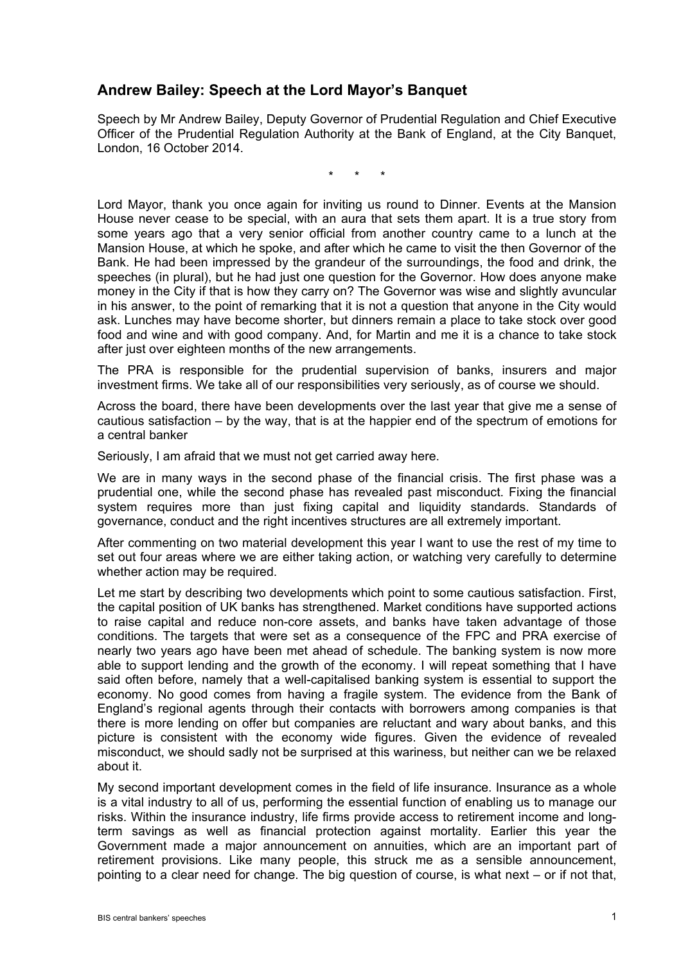## **Andrew Bailey: Speech at the Lord Mayor's Banquet**

Speech by Mr Andrew Bailey, Deputy Governor of Prudential Regulation and Chief Executive Officer of the Prudential Regulation Authority at the Bank of England, at the City Banquet, London, 16 October 2014.

\* \* \*

Lord Mayor, thank you once again for inviting us round to Dinner. Events at the Mansion House never cease to be special, with an aura that sets them apart. It is a true story from some years ago that a very senior official from another country came to a lunch at the Mansion House, at which he spoke, and after which he came to visit the then Governor of the Bank. He had been impressed by the grandeur of the surroundings, the food and drink, the speeches (in plural), but he had just one question for the Governor. How does anyone make money in the City if that is how they carry on? The Governor was wise and slightly avuncular in his answer, to the point of remarking that it is not a question that anyone in the City would ask. Lunches may have become shorter, but dinners remain a place to take stock over good food and wine and with good company. And, for Martin and me it is a chance to take stock after just over eighteen months of the new arrangements.

The PRA is responsible for the prudential supervision of banks, insurers and major investment firms. We take all of our responsibilities very seriously, as of course we should.

Across the board, there have been developments over the last year that give me a sense of cautious satisfaction – by the way, that is at the happier end of the spectrum of emotions for a central banker

Seriously, I am afraid that we must not get carried away here.

We are in many ways in the second phase of the financial crisis. The first phase was a prudential one, while the second phase has revealed past misconduct. Fixing the financial system requires more than just fixing capital and liquidity standards. Standards of governance, conduct and the right incentives structures are all extremely important.

After commenting on two material development this year I want to use the rest of my time to set out four areas where we are either taking action, or watching very carefully to determine whether action may be required.

Let me start by describing two developments which point to some cautious satisfaction. First, the capital position of UK banks has strengthened. Market conditions have supported actions to raise capital and reduce non-core assets, and banks have taken advantage of those conditions. The targets that were set as a consequence of the FPC and PRA exercise of nearly two years ago have been met ahead of schedule. The banking system is now more able to support lending and the growth of the economy. I will repeat something that I have said often before, namely that a well-capitalised banking system is essential to support the economy. No good comes from having a fragile system. The evidence from the Bank of England's regional agents through their contacts with borrowers among companies is that there is more lending on offer but companies are reluctant and wary about banks, and this picture is consistent with the economy wide figures. Given the evidence of revealed misconduct, we should sadly not be surprised at this wariness, but neither can we be relaxed about it.

My second important development comes in the field of life insurance. Insurance as a whole is a vital industry to all of us, performing the essential function of enabling us to manage our risks. Within the insurance industry, life firms provide access to retirement income and longterm savings as well as financial protection against mortality. Earlier this year the Government made a major announcement on annuities, which are an important part of retirement provisions. Like many people, this struck me as a sensible announcement, pointing to a clear need for change. The big question of course, is what next – or if not that,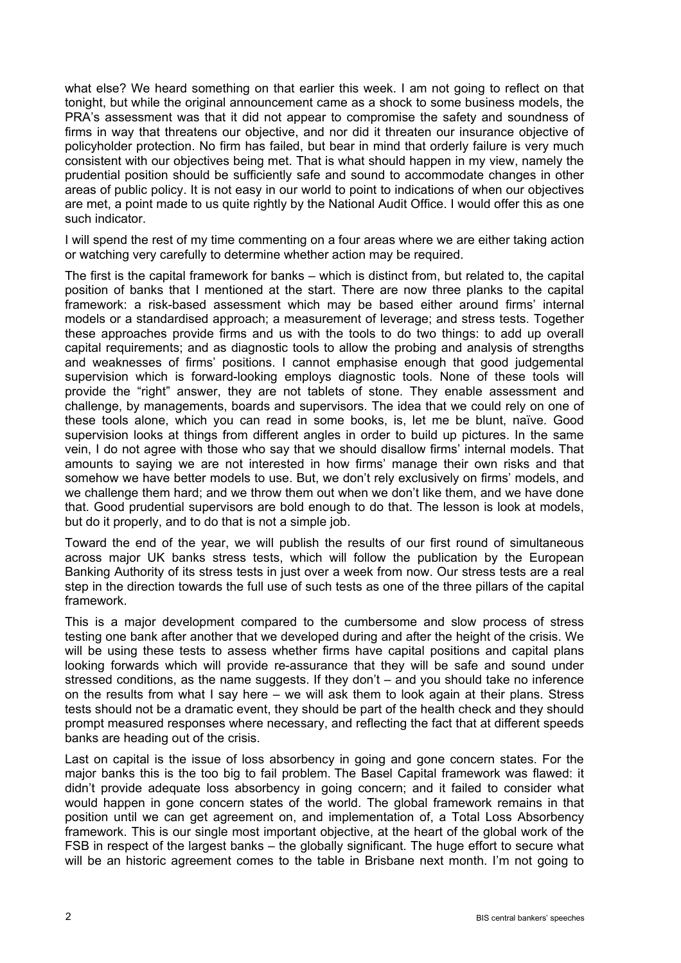what else? We heard something on that earlier this week. I am not going to reflect on that tonight, but while the original announcement came as a shock to some business models, the PRA's assessment was that it did not appear to compromise the safety and soundness of firms in way that threatens our objective, and nor did it threaten our insurance objective of policyholder protection. No firm has failed, but bear in mind that orderly failure is very much consistent with our objectives being met. That is what should happen in my view, namely the prudential position should be sufficiently safe and sound to accommodate changes in other areas of public policy. It is not easy in our world to point to indications of when our objectives are met, a point made to us quite rightly by the National Audit Office. I would offer this as one such indicator.

I will spend the rest of my time commenting on a four areas where we are either taking action or watching very carefully to determine whether action may be required.

The first is the capital framework for banks – which is distinct from, but related to, the capital position of banks that I mentioned at the start. There are now three planks to the capital framework: a risk-based assessment which may be based either around firms' internal models or a standardised approach; a measurement of leverage; and stress tests. Together these approaches provide firms and us with the tools to do two things: to add up overall capital requirements; and as diagnostic tools to allow the probing and analysis of strengths and weaknesses of firms' positions. I cannot emphasise enough that good judgemental supervision which is forward-looking employs diagnostic tools. None of these tools will provide the "right" answer, they are not tablets of stone. They enable assessment and challenge, by managements, boards and supervisors. The idea that we could rely on one of these tools alone, which you can read in some books, is, let me be blunt, naïve. Good supervision looks at things from different angles in order to build up pictures. In the same vein, I do not agree with those who say that we should disallow firms' internal models. That amounts to saying we are not interested in how firms' manage their own risks and that somehow we have better models to use. But, we don't rely exclusively on firms' models, and we challenge them hard; and we throw them out when we don't like them, and we have done that. Good prudential supervisors are bold enough to do that. The lesson is look at models, but do it properly, and to do that is not a simple job.

Toward the end of the year, we will publish the results of our first round of simultaneous across major UK banks stress tests, which will follow the publication by the European Banking Authority of its stress tests in just over a week from now. Our stress tests are a real step in the direction towards the full use of such tests as one of the three pillars of the capital framework.

This is a major development compared to the cumbersome and slow process of stress testing one bank after another that we developed during and after the height of the crisis. We will be using these tests to assess whether firms have capital positions and capital plans looking forwards which will provide re-assurance that they will be safe and sound under stressed conditions, as the name suggests. If they don't – and you should take no inference on the results from what I say here – we will ask them to look again at their plans. Stress tests should not be a dramatic event, they should be part of the health check and they should prompt measured responses where necessary, and reflecting the fact that at different speeds banks are heading out of the crisis.

Last on capital is the issue of loss absorbency in going and gone concern states. For the major banks this is the too big to fail problem. The Basel Capital framework was flawed: it didn't provide adequate loss absorbency in going concern; and it failed to consider what would happen in gone concern states of the world. The global framework remains in that position until we can get agreement on, and implementation of, a Total Loss Absorbency framework. This is our single most important objective, at the heart of the global work of the FSB in respect of the largest banks – the globally significant. The huge effort to secure what will be an historic agreement comes to the table in Brisbane next month. I'm not going to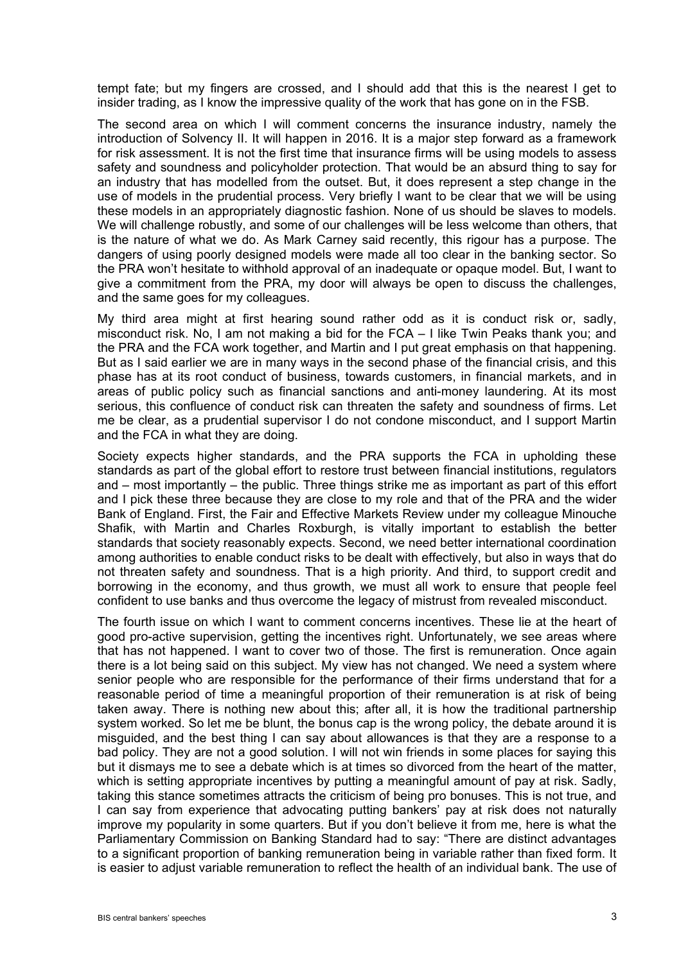tempt fate; but my fingers are crossed, and I should add that this is the nearest I get to insider trading, as I know the impressive quality of the work that has gone on in the FSB.

The second area on which I will comment concerns the insurance industry, namely the introduction of Solvency II. It will happen in 2016. It is a major step forward as a framework for risk assessment. It is not the first time that insurance firms will be using models to assess safety and soundness and policyholder protection. That would be an absurd thing to say for an industry that has modelled from the outset. But, it does represent a step change in the use of models in the prudential process. Very briefly I want to be clear that we will be using these models in an appropriately diagnostic fashion. None of us should be slaves to models. We will challenge robustly, and some of our challenges will be less welcome than others, that is the nature of what we do. As Mark Carney said recently, this rigour has a purpose. The dangers of using poorly designed models were made all too clear in the banking sector. So the PRA won't hesitate to withhold approval of an inadequate or opaque model. But, I want to give a commitment from the PRA, my door will always be open to discuss the challenges, and the same goes for my colleagues.

My third area might at first hearing sound rather odd as it is conduct risk or, sadly, misconduct risk. No, I am not making a bid for the FCA – I like Twin Peaks thank you; and the PRA and the FCA work together, and Martin and I put great emphasis on that happening. But as I said earlier we are in many ways in the second phase of the financial crisis, and this phase has at its root conduct of business, towards customers, in financial markets, and in areas of public policy such as financial sanctions and anti-money laundering. At its most serious, this confluence of conduct risk can threaten the safety and soundness of firms. Let me be clear, as a prudential supervisor I do not condone misconduct, and I support Martin and the FCA in what they are doing.

Society expects higher standards, and the PRA supports the FCA in upholding these standards as part of the global effort to restore trust between financial institutions, regulators and – most importantly – the public. Three things strike me as important as part of this effort and I pick these three because they are close to my role and that of the PRA and the wider Bank of England. First, the Fair and Effective Markets Review under my colleague Minouche Shafik, with Martin and Charles Roxburgh, is vitally important to establish the better standards that society reasonably expects. Second, we need better international coordination among authorities to enable conduct risks to be dealt with effectively, but also in ways that do not threaten safety and soundness. That is a high priority. And third, to support credit and borrowing in the economy, and thus growth, we must all work to ensure that people feel confident to use banks and thus overcome the legacy of mistrust from revealed misconduct.

The fourth issue on which I want to comment concerns incentives. These lie at the heart of good pro-active supervision, getting the incentives right. Unfortunately, we see areas where that has not happened. I want to cover two of those. The first is remuneration. Once again there is a lot being said on this subject. My view has not changed. We need a system where senior people who are responsible for the performance of their firms understand that for a reasonable period of time a meaningful proportion of their remuneration is at risk of being taken away. There is nothing new about this; after all, it is how the traditional partnership system worked. So let me be blunt, the bonus cap is the wrong policy, the debate around it is misguided, and the best thing I can say about allowances is that they are a response to a bad policy. They are not a good solution. I will not win friends in some places for saying this but it dismays me to see a debate which is at times so divorced from the heart of the matter, which is setting appropriate incentives by putting a meaningful amount of pay at risk. Sadly, taking this stance sometimes attracts the criticism of being pro bonuses. This is not true, and I can say from experience that advocating putting bankers' pay at risk does not naturally improve my popularity in some quarters. But if you don't believe it from me, here is what the Parliamentary Commission on Banking Standard had to say: "There are distinct advantages to a significant proportion of banking remuneration being in variable rather than fixed form. It is easier to adjust variable remuneration to reflect the health of an individual bank. The use of